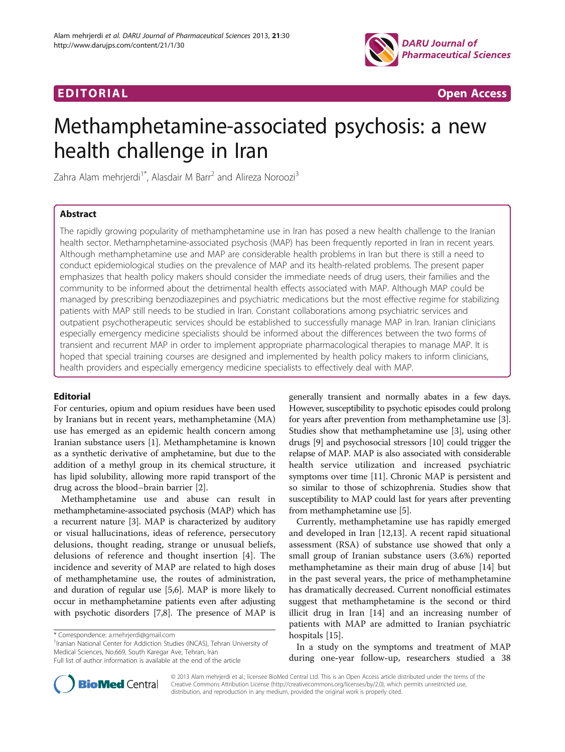



# Methamphetamine-associated psychosis: a new health challenge in Iran

Zahra Alam mehrjerdi<sup>1\*</sup>, Alasdair M Barr<sup>2</sup> and Alireza Noroozi<sup>3</sup>

# Abstract

The rapidly growing popularity of methamphetamine use in Iran has posed a new health challenge to the Iranian health sector. Methamphetamine-associated psychosis (MAP) has been frequently reported in Iran in recent years. Although methamphetamine use and MAP are considerable health problems in Iran but there is still a need to conduct epidemiological studies on the prevalence of MAP and its health-related problems. The present paper emphasizes that health policy makers should consider the immediate needs of drug users, their families and the community to be informed about the detrimental health effects associated with MAP. Although MAP could be managed by prescribing benzodiazepines and psychiatric medications but the most effective regime for stabilizing patients with MAP still needs to be studied in Iran. Constant collaborations among psychiatric services and outpatient psychotherapeutic services should be established to successfully manage MAP in Iran. Iranian clinicians especially emergency medicine specialists should be informed about the differences between the two forms of transient and recurrent MAP in order to implement appropriate pharmacological therapies to manage MAP. It is hoped that special training courses are designed and implemented by health policy makers to inform clinicians, health providers and especially emergency medicine specialists to effectively deal with MAP.

# Editorial

For centuries, opium and opium residues have been used by Iranians but in recent years, methamphetamine (MA) use has emerged as an epidemic health concern among Iranian substance users [\[1](#page-2-0)]. Methamphetamine is known as a synthetic derivative of amphetamine, but due to the addition of a methyl group in its chemical structure, it has lipid solubility, allowing more rapid transport of the drug across the blood–brain barrier [\[2](#page-2-0)].

Methamphetamine use and abuse can result in methamphetamine-associated psychosis (MAP) which has a recurrent nature [[3](#page-2-0)]. MAP is characterized by auditory or visual hallucinations, ideas of reference, persecutory delusions, thought reading, strange or unusual beliefs, delusions of reference and thought insertion [[4\]](#page-2-0). The incidence and severity of MAP are related to high doses of methamphetamine use, the routes of administration, and duration of regular use [[5,6\]](#page-2-0). MAP is more likely to occur in methamphetamine patients even after adjusting with psychotic disorders [[7,8\]](#page-2-0). The presence of MAP is

<sup>1</sup> Iranian National Center for Addiction Studies (INCAS), Tehran University of Medical Sciences, No.669, South Karegar Ave, Tehran, Iran

generally transient and normally abates in a few days. However, susceptibility to psychotic episodes could prolong for years after prevention from methamphetamine use [[3](#page-2-0)]. Studies show that methamphetamine use [\[3\]](#page-2-0), using other drugs [\[9](#page-2-0)] and psychosocial stressors [[10](#page-2-0)] could trigger the relapse of MAP. MAP is also associated with considerable health service utilization and increased psychiatric symptoms over time [[11\]](#page-2-0). Chronic MAP is persistent and so similar to those of schizophrenia. Studies show that susceptibility to MAP could last for years after preventing from methamphetamine use [[5\]](#page-2-0).

Currently, methamphetamine use has rapidly emerged and developed in Iran [\[12,13\]](#page-2-0). A recent rapid situational assessment (RSA) of substance use showed that only a small group of Iranian substance users (3.6%) reported methamphetamine as their main drug of abuse [\[14](#page-2-0)] but in the past several years, the price of methamphetamine has dramatically decreased. Current nonofficial estimates suggest that methamphetamine is the second or third illicit drug in Iran [[14\]](#page-2-0) and an increasing number of patients with MAP are admitted to Iranian psychiatric hospitals [[15\]](#page-2-0).

In a study on the symptoms and treatment of MAP during one-year follow-up, researchers studied a 38



© 2013 Alam mehrjerdi et al.; licensee BioMed Central Ltd. This is an Open Access article distributed under the terms of the Creative Commons Attribution License (<http://creativecommons.org/licenses/by/2.0>), which permits unrestricted use, distribution, and reproduction in any medium, provided the original work is properly cited.

<sup>\*</sup> Correspondence: [a.mehrjerdi@gmail.com](mailto:a.mehrjerdi@gmail.com) <sup>1</sup>

Full list of author information is available at the end of the article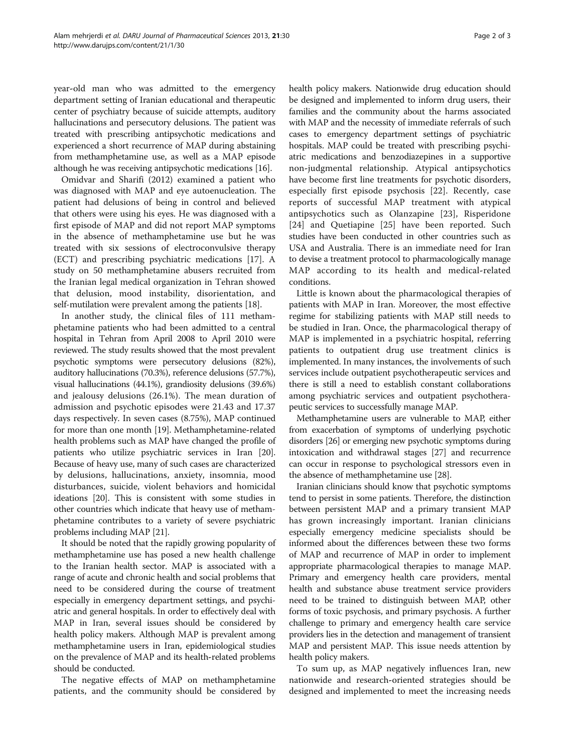year-old man who was admitted to the emergency department setting of Iranian educational and therapeutic center of psychiatry because of suicide attempts, auditory hallucinations and persecutory delusions. The patient was treated with prescribing antipsychotic medications and experienced a short recurrence of MAP during abstaining from methamphetamine use, as well as a MAP episode although he was receiving antipsychotic medications [\[16\]](#page-2-0).

Omidvar and Sharifi (2012) examined a patient who was diagnosed with MAP and eye autoenucleation. The patient had delusions of being in control and believed that others were using his eyes. He was diagnosed with a first episode of MAP and did not report MAP symptoms in the absence of methamphetamine use but he was treated with six sessions of electroconvulsive therapy (ECT) and prescribing psychiatric medications [[17](#page-2-0)]. A study on 50 methamphetamine abusers recruited from the Iranian legal medical organization in Tehran showed that delusion, mood instability, disorientation, and self-mutilation were prevalent among the patients [\[18\]](#page-2-0).

In another study, the clinical files of 111 methamphetamine patients who had been admitted to a central hospital in Tehran from April 2008 to April 2010 were reviewed. The study results showed that the most prevalent psychotic symptoms were persecutory delusions (82%), auditory hallucinations (70.3%), reference delusions (57.7%), visual hallucinations (44.1%), grandiosity delusions (39.6%) and jealousy delusions (26.1%). The mean duration of admission and psychotic episodes were 21.43 and 17.37 days respectively. In seven cases (8.75%), MAP continued for more than one month [[19](#page-2-0)]. Methamphetamine-related health problems such as MAP have changed the profile of patients who utilize psychiatric services in Iran [[20](#page-2-0)]. Because of heavy use, many of such cases are characterized by delusions, hallucinations, anxiety, insomnia, mood disturbances, suicide, violent behaviors and homicidal ideations [[20](#page-2-0)]. This is consistent with some studies in other countries which indicate that heavy use of methamphetamine contributes to a variety of severe psychiatric problems including MAP [[21\]](#page-2-0).

It should be noted that the rapidly growing popularity of methamphetamine use has posed a new health challenge to the Iranian health sector. MAP is associated with a range of acute and chronic health and social problems that need to be considered during the course of treatment especially in emergency department settings, and psychiatric and general hospitals. In order to effectively deal with MAP in Iran, several issues should be considered by health policy makers. Although MAP is prevalent among methamphetamine users in Iran, epidemiological studies on the prevalence of MAP and its health-related problems should be conducted.

The negative effects of MAP on methamphetamine patients, and the community should be considered by health policy makers. Nationwide drug education should be designed and implemented to inform drug users, their families and the community about the harms associated with MAP and the necessity of immediate referrals of such cases to emergency department settings of psychiatric hospitals. MAP could be treated with prescribing psychiatric medications and benzodiazepines in a supportive non-judgmental relationship. Atypical antipsychotics have become first line treatments for psychotic disorders, especially first episode psychosis [[22\]](#page-2-0). Recently, case reports of successful MAP treatment with atypical antipsychotics such as Olanzapine [\[23](#page-2-0)], Risperidone [[24\]](#page-2-0) and Quetiapine [\[25](#page-2-0)] have been reported. Such studies have been conducted in other countries such as USA and Australia. There is an immediate need for Iran to devise a treatment protocol to pharmacologically manage MAP according to its health and medical-related conditions.

Little is known about the pharmacological therapies of patients with MAP in Iran. Moreover, the most effective regime for stabilizing patients with MAP still needs to be studied in Iran. Once, the pharmacological therapy of MAP is implemented in a psychiatric hospital, referring patients to outpatient drug use treatment clinics is implemented. In many instances, the involvements of such services include outpatient psychotherapeutic services and there is still a need to establish constant collaborations among psychiatric services and outpatient psychotherapeutic services to successfully manage MAP.

Methamphetamine users are vulnerable to MAP, either from exacerbation of symptoms of underlying psychotic disorders [\[26\]](#page-2-0) or emerging new psychotic symptoms during intoxication and withdrawal stages [\[27\]](#page-2-0) and recurrence can occur in response to psychological stressors even in the absence of methamphetamine use [\[28\]](#page-2-0).

Iranian clinicians should know that psychotic symptoms tend to persist in some patients. Therefore, the distinction between persistent MAP and a primary transient MAP has grown increasingly important. Iranian clinicians especially emergency medicine specialists should be informed about the differences between these two forms of MAP and recurrence of MAP in order to implement appropriate pharmacological therapies to manage MAP. Primary and emergency health care providers, mental health and substance abuse treatment service providers need to be trained to distinguish between MAP, other forms of toxic psychosis, and primary psychosis. A further challenge to primary and emergency health care service providers lies in the detection and management of transient MAP and persistent MAP. This issue needs attention by health policy makers.

To sum up, as MAP negatively influences Iran, new nationwide and research-oriented strategies should be designed and implemented to meet the increasing needs